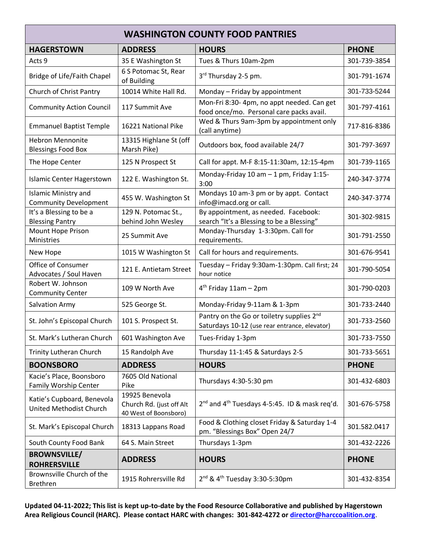| <b>WASHINGTON COUNTY FOOD PANTRIES</b>                      |                                                                     |                                                                                            |              |  |  |  |
|-------------------------------------------------------------|---------------------------------------------------------------------|--------------------------------------------------------------------------------------------|--------------|--|--|--|
| <b>HAGERSTOWN</b>                                           | <b>ADDRESS</b>                                                      | <b>HOURS</b>                                                                               | <b>PHONE</b> |  |  |  |
| Acts 9                                                      | 35 E Washington St                                                  | Tues & Thurs 10am-2pm                                                                      | 301-739-3854 |  |  |  |
| <b>Bridge of Life/Faith Chapel</b>                          | 6 S Potomac St, Rear<br>of Building                                 | 3 <sup>rd</sup> Thursday 2-5 pm.                                                           | 301-791-1674 |  |  |  |
| Church of Christ Pantry                                     | 10014 White Hall Rd.                                                | Monday - Friday by appointment                                                             | 301-733-5244 |  |  |  |
| <b>Community Action Council</b>                             | 117 Summit Ave                                                      | Mon-Fri 8:30- 4pm, no appt needed. Can get<br>food once/mo. Personal care packs avail.     | 301-797-4161 |  |  |  |
| <b>Emmanuel Baptist Temple</b>                              | 16221 National Pike                                                 | Wed & Thurs 9am-3pm by appointment only<br>(call anytime)                                  | 717-816-8386 |  |  |  |
| <b>Hebron Mennonite</b><br><b>Blessings Food Box</b>        | 13315 Highlane St (off<br>Marsh Pike)                               | Outdoors box, food available 24/7                                                          | 301-797-3697 |  |  |  |
| The Hope Center                                             | 125 N Prospect St                                                   | Call for appt. M-F 8:15-11:30am, 12:15-4pm                                                 | 301-739-1165 |  |  |  |
| <b>Islamic Center Hagerstown</b>                            | 122 E. Washington St.                                               | Monday-Friday 10 am - 1 pm, Friday 1:15-<br>3:00                                           | 240-347-3774 |  |  |  |
| <b>Islamic Ministry and</b><br><b>Community Development</b> | 455 W. Washington St                                                | Mondays 10 am-3 pm or by appt. Contact<br>info@imacd.org or call.                          | 240-347-3774 |  |  |  |
| It's a Blessing to be a<br><b>Blessing Pantry</b>           | 129 N. Potomac St.,<br>behind John Wesley                           | By appointment, as needed. Facebook:<br>search "It's a Blessing to be a Blessing"          | 301-302-9815 |  |  |  |
| <b>Mount Hope Prison</b><br>Ministries                      | 25 Summit Ave                                                       | Monday-Thursday 1-3:30pm. Call for<br>requirements.                                        | 301-791-2550 |  |  |  |
| New Hope                                                    | 1015 W Washington St                                                | Call for hours and requirements.                                                           | 301-676-9541 |  |  |  |
| Office of Consumer<br>Advocates / Soul Haven                | 121 E. Antietam Street                                              | Tuesday - Friday 9:30am-1:30pm. Call first; 24<br>hour notice                              | 301-790-5054 |  |  |  |
| Robert W. Johnson<br><b>Community Center</b>                | 109 W North Ave                                                     | $4th$ Friday 11am - 2pm                                                                    | 301-790-0203 |  |  |  |
| Salvation Army                                              | 525 George St.                                                      | Monday-Friday 9-11am & 1-3pm                                                               | 301-733-2440 |  |  |  |
| St. John's Episcopal Church                                 | 101 S. Prospect St.                                                 | Pantry on the Go or toiletry supplies 2nd<br>Saturdays 10-12 (use rear entrance, elevator) | 301-733-2560 |  |  |  |
| St. Mark's Lutheran Church                                  | 601 Washington Ave                                                  | Tues-Friday 1-3pm                                                                          | 301-733-7550 |  |  |  |
| <b>Trinity Lutheran Church</b>                              | 15 Randolph Ave                                                     | Thursday 11-1:45 & Saturdays 2-5                                                           | 301-733-5651 |  |  |  |
| <b>BOONSBORO</b>                                            | <b>ADDRESS</b>                                                      | <b>HOURS</b>                                                                               | <b>PHONE</b> |  |  |  |
| Kacie's Place, Boonsboro<br>Family Worship Center           | 7605 Old National<br>Pike                                           | Thursdays 4:30-5:30 pm                                                                     | 301-432-6803 |  |  |  |
| Katie's Cupboard, Benevola<br>United Methodist Church       | 19925 Benevola<br>Church Rd. (just off Alt<br>40 West of Boonsboro) | 2 <sup>nd</sup> and 4 <sup>th</sup> Tuesdays 4-5:45. ID & mask req'd.                      | 301-676-5758 |  |  |  |
| St. Mark's Episcopal Church                                 | 18313 Lappans Road                                                  | Food & Clothing closet Friday & Saturday 1-4<br>pm. "Blessings Box" Open 24/7              | 301.582.0417 |  |  |  |
| South County Food Bank                                      | 64 S. Main Street                                                   | Thursdays 1-3pm                                                                            | 301-432-2226 |  |  |  |
| <b>BROWNSVILLE/</b><br><b>ROHRERSVILLE</b>                  | <b>ADDRESS</b>                                                      | <b>HOURS</b>                                                                               | <b>PHONE</b> |  |  |  |
| Brownsville Church of the<br>Brethren                       | 1915 Rohrersville Rd                                                | 2 <sup>nd</sup> & 4 <sup>th</sup> Tuesday 3:30-5:30pm                                      | 301-432-8354 |  |  |  |

**Updated 04-11-2022; This list is kept up-to-date by the Food Resource Collaborative and published by Hagerstown Area Religious Council (HARC). Please contact HARC with changes: 301-842-4272 or [director@harccoalition.org](mailto:director@harccoalition.org)**.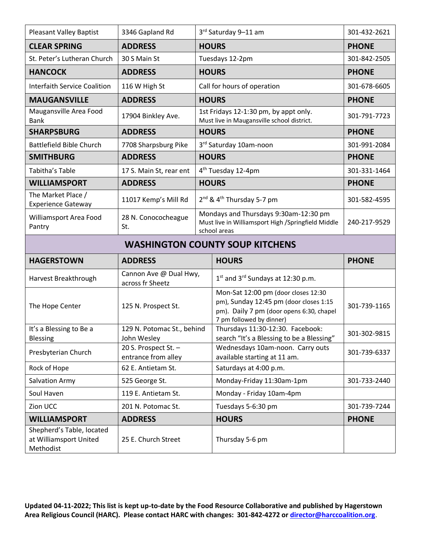| <b>Pleasant Valley Baptist</b>                      | 3346 Gapland Rd                             | 3rd Saturday 9-11 am                                                                |                                                                                                                                                       | 301-432-2621 |  |  |  |
|-----------------------------------------------------|---------------------------------------------|-------------------------------------------------------------------------------------|-------------------------------------------------------------------------------------------------------------------------------------------------------|--------------|--|--|--|
| <b>CLEAR SPRING</b>                                 | <b>ADDRESS</b>                              | <b>HOURS</b>                                                                        |                                                                                                                                                       | <b>PHONE</b> |  |  |  |
| St. Peter's Lutheran Church                         | 30 S Main St                                | Tuesdays 12-2pm                                                                     |                                                                                                                                                       | 301-842-2505 |  |  |  |
| <b>HANCOCK</b>                                      | <b>ADDRESS</b>                              |                                                                                     | <b>HOURS</b>                                                                                                                                          | <b>PHONE</b> |  |  |  |
| <b>Interfaith Service Coalition</b>                 | 116 W High St                               |                                                                                     | Call for hours of operation                                                                                                                           | 301-678-6605 |  |  |  |
| <b>MAUGANSVILLE</b>                                 | <b>ADDRESS</b>                              |                                                                                     | <b>HOURS</b>                                                                                                                                          | <b>PHONE</b> |  |  |  |
| Maugansville Area Food<br><b>Bank</b>               | 17904 Binkley Ave.                          | 1st Fridays 12-1:30 pm, by appt only.<br>Must live in Maugansville school district. |                                                                                                                                                       | 301-791-7723 |  |  |  |
| <b>SHARPSBURG</b>                                   | <b>ADDRESS</b>                              | <b>HOURS</b>                                                                        |                                                                                                                                                       | <b>PHONE</b> |  |  |  |
| <b>Battlefield Bible Church</b>                     | 7708 Sharpsburg Pike                        |                                                                                     | 3rd Saturday 10am-noon                                                                                                                                | 301-991-2084 |  |  |  |
| <b>SMITHBURG</b>                                    | <b>ADDRESS</b>                              |                                                                                     | <b>HOURS</b>                                                                                                                                          | <b>PHONE</b> |  |  |  |
| Tabitha's Table                                     | 17 S. Main St, rear ent                     | 4 <sup>th</sup> Tuesday 12-4pm                                                      |                                                                                                                                                       | 301-331-1464 |  |  |  |
| <b>WILLIAMSPORT</b>                                 | <b>ADDRESS</b>                              |                                                                                     | <b>HOURS</b>                                                                                                                                          | <b>PHONE</b> |  |  |  |
| The Market Place /<br><b>Experience Gateway</b>     | 11017 Kemp's Mill Rd                        |                                                                                     | 2 <sup>nd</sup> & 4 <sup>th</sup> Thursday 5-7 pm                                                                                                     | 301-582-4595 |  |  |  |
| Williamsport Area Food<br>Pantry                    | 28 N. Conococheague<br>St.                  |                                                                                     | Mondays and Thursdays 9:30am-12:30 pm<br>Must live in Williamsport High /Springfield Middle<br>school areas                                           | 240-217-9529 |  |  |  |
| <b>WASHINGTON COUNTY SOUP KITCHENS</b>              |                                             |                                                                                     |                                                                                                                                                       |              |  |  |  |
| <b>HAGERSTOWN</b>                                   | <b>ADDRESS</b>                              |                                                                                     | <b>HOURS</b>                                                                                                                                          | <b>PHONE</b> |  |  |  |
| Harvest Breakthrough                                | Cannon Ave @ Dual Hwy,<br>across fr Sheetz  |                                                                                     | $1st$ and $3rd$ Sundays at 12:30 p.m.                                                                                                                 |              |  |  |  |
| The Hope Center                                     | 125 N. Prospect St.                         |                                                                                     | Mon-Sat 12:00 pm (door closes 12:30<br>pm), Sunday 12:45 pm (door closes 1:15<br>pm). Daily 7 pm (door opens 6:30, chapel<br>7 pm followed by dinner) | 301-739-1165 |  |  |  |
| It's a Blessing to Be a<br>Blessing                 | 129 N. Potomac St., behind<br>John Wesley   |                                                                                     | Thursdays 11:30-12:30. Facebook:<br>search "It's a Blessing to be a Blessing"                                                                         | 301-302-9815 |  |  |  |
| Presbyterian Church                                 | 20 S. Prospect St. -<br>entrance from alley |                                                                                     | Wednesdays 10am-noon. Carry outs<br>available starting at 11 am.                                                                                      | 301-739-6337 |  |  |  |
| Rock of Hope                                        | 62 E. Antietam St.                          |                                                                                     | Saturdays at 4:00 p.m.                                                                                                                                |              |  |  |  |
| Salvation Army                                      | 525 George St.                              |                                                                                     | Monday-Friday 11:30am-1pm                                                                                                                             | 301-733-2440 |  |  |  |
| Soul Haven                                          | 119 E. Antietam St.                         |                                                                                     | Monday - Friday 10am-4pm                                                                                                                              |              |  |  |  |
| Zion UCC                                            | 201 N. Potomac St.                          |                                                                                     | Tuesdays 5-6:30 pm                                                                                                                                    | 301-739-7244 |  |  |  |
| <b>WILLIAMSPORT</b>                                 | <b>ADDRESS</b>                              |                                                                                     | <b>HOURS</b>                                                                                                                                          | <b>PHONE</b> |  |  |  |
| Shepherd's Table, located<br>at Williamsport United |                                             |                                                                                     |                                                                                                                                                       |              |  |  |  |